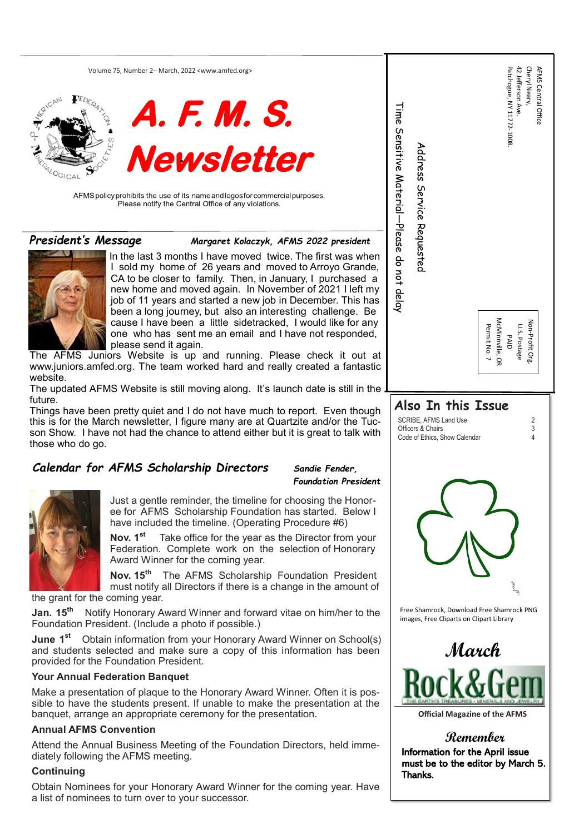Volume 75, Number 2– March, 2022 [<www.amfed.org>](http://www.amfed.org/)





AFMS policy prohibits the use of its name and logos for commercial purposes. Please notify the Central Office of any violations.

| en<br>le, a<br>ny as<br>,e<br>ny d,<br>at<br>stic | Patchogue, NY 11772-1008.<br>Time Servitive Material-Please do rot delay<br>Address Service Requested<br>McMinnville, OR<br>Permit No. 7<br><b>PAID</b> | 42 Jefferson Ave.<br>Cheryl Neary,<br><b>AFMS Central Office</b><br>Non-Profit Org.<br>U.S. Postage |  |  |  |  |
|---------------------------------------------------|---------------------------------------------------------------------------------------------------------------------------------------------------------|-----------------------------------------------------------------------------------------------------|--|--|--|--|
| the                                               |                                                                                                                                                         |                                                                                                     |  |  |  |  |
| ιgh<br>JC-<br><i>r</i> ith                        | Also In this Issue<br>SCRIBE, AFMS Land Use<br>Officers & Chairs<br>Code of Ethics, Show Calendar                                                       | $\frac{2}{3}$<br>$\overline{4}$                                                                     |  |  |  |  |
| znt                                               |                                                                                                                                                         |                                                                                                     |  |  |  |  |
| r-<br>$\overline{1}$                              |                                                                                                                                                         |                                                                                                     |  |  |  |  |
| ur<br>Гy                                          |                                                                                                                                                         |                                                                                                     |  |  |  |  |
| nt<br><b>of</b>                                   |                                                                                                                                                         |                                                                                                     |  |  |  |  |
| :he                                               | Free Shamrock, Download Free Shamrock PNG<br>images, Free Cliparts on Clipart Library                                                                   |                                                                                                     |  |  |  |  |
| $\mathsf{l}(\mathsf{s})$<br>en                    | March                                                                                                                                                   |                                                                                                     |  |  |  |  |
| )S-<br>he                                         | <b>Official Magazine of the AFMS</b>                                                                                                                    |                                                                                                     |  |  |  |  |

## **Remember**

Information for the April issue must be to the editor by March 5. Thanks.

**Nov. 15th** The AFMS Scholarship Foundation President must notify all Directors if there is a change in the amount

**March**

### *Calendar for AFMS Scholarship Directors Sandie Fender,*

**Foundation Preside** 



**June 1<sup>st</sup>** Obtain information from your Honorary Award Winner on School(s) and students selected and make sure a copy of this information has been provided for the Foundation President.

Just a gentle reminder, the timeline for choosing the Honoree for AFMS Scholarship Foundation has started. Below have included the timeline. (Operating Procedure #6)

**Nov. 1st** Take office for the year as the Director from your Federation. Complete work on the selection of Honorar Award Winner for the coming year.

the grant for the coming year.

**Jan. 15th** Notify Honorary Award Winner and forward vitae on him/her to the Foundation President. (Include a photo if possible.)

In the last 3 months I have moved twice. The first was when I sold my home of 26 years and moved to Arroyo Grand CA to be closer to family. Then, in January, I purchased new home and moved again. In November of 2021 I left my job of 11 years and started a new job in December. This has been a long journey, but also an interesting challenge. Be cause I have been a little sidetracked, I would like for ar one who has sent me an email and I have not responded please send it again.

The AFMS Juniors Website is up and running. Please check it out www.juniors.amfed.org. The team worked hard and really created a fantas website.

The updated AFMS Website is still moving along. It's launch date is still in the future.

#### **Your Annual Federation Banquet**

Things have been pretty quiet and I do not have much to report. Even thought this is for the March newsletter, I figure many are at Quartzite and/or the Tu son Show. I have not had the chance to attend either but it is great to talk w those who do go.

Make a presentation of plaque to the Honorary Award Winner. Often it is possible to have the students present. If unable to make the presentation at the banquet, arrange an appropriate ceremony for the presentation.

#### **Annual AFMS Convention**

Attend the Annual Business Meeting of the Foundation Directors, held immediately following the AFMS meeting.

#### **Continuing**

Obtain Nominees for your Honorary Award Winner for the coming year. Have a list of nominees to turn over to your successor.



*President's Message Margaret Kolaczyk, AFMS 2022 president*

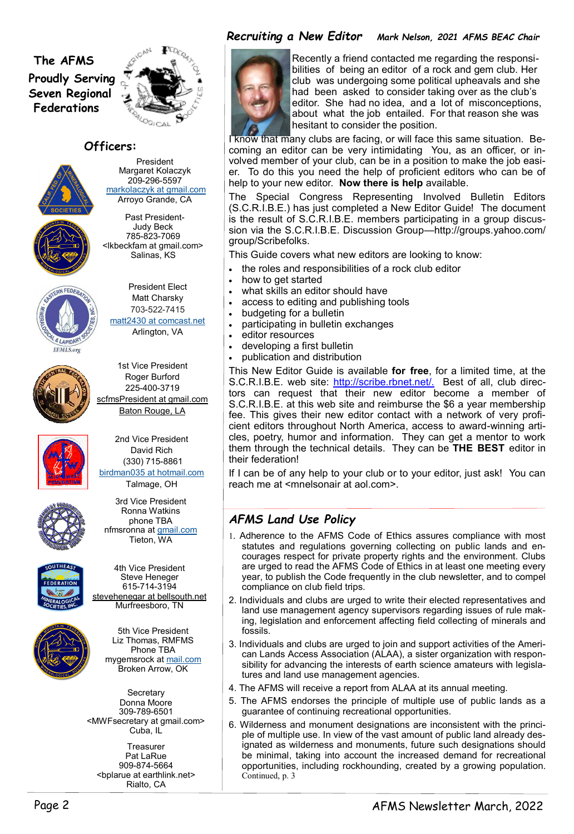# **The AFMS Proudly Serving Seven Regional Federations**



## **Officers:**



President Margaret Kolaczyk 209-296-5597 [markolaczyk at gmail.com](mailto:markolaczyk@gmail.com) Arroyo Grande, CA

Past President-Judy Beck 785-823-7069 <lkbeckfam at gmail.com> Salinas, KS



President Elect Matt Charsky 703-522-7415 [matt2430 at comcast.net](mailto:matt2430@comcast.net) Arlington, VA







**Secretary** Donna Moore 309-789-6501 <MWFsecretary at gmail.com> Cuba, IL

2nd Vice President David Rich (330) 715-8861 [birdman035 at hotmail.com](mailto:birdman035@hotmail.com) Talmage, OH



**Treasurer** Pat LaRue 909-874-5664 <bplarue at earthlink.net> Rialto, CA





4th Vice President Steve Heneger 615-714-3194 stevehenegar at bellsouth.net Murfreesboro, TN



5th Vice President Liz Thomas, RMFMS Phone TBA

mygemsrock at [mail.com](http://mail.com/) Broken Arrow, OK

## *Recruiting a New Editor Mark Nelson, 2021 AFMS BEAC Chair*



- the roles and responsibilities of a rock club editor
- how to get started
- what skills an editor should have
- access to editing and publishing tools
- budgeting for a bulletin
- participating in bulletin exchanges
- editor resources
- developing a first bulletin
- publication and distribution

 Recently a friend contacted me regarding the responsi bilities of being an editor of a rock and gem club. Her club was undergoing some political upheavals and she had been asked to consider taking over as the club's editor. She had no idea, and a lot of misconceptions, about what the job entailed. For that reason she was hesitant to consider the position.

If I can be of any help to your club or to your editor, just ask! You can reach me at <mnelsonair at aol.com>.

I know that many clubs are facing, or will face this same situation. Becoming an editor can be very intimidating You, as an officer, or involved member of your club, can be in a position to make the job easier. To do this you need the help of proficient editors who can be of help to your new editor. **Now there is help** available.

The Special Congress Representing Involved Bulletin Editors (S.C.R.I.B.E.) has just completed a New Editor Guide! The document is the result of S.C.R.I.B.E. members participating in a group discussion via the S.C.R.I.B.E. Discussion Group—http://groups.yahoo.com/ group/Scribefolks.

This Guide covers what new editors are looking to know:

This New Editor Guide is available **for free**, for a limited time, at the S.C.R.I.B.E. web site: [http://scribe.rbnet.net/.](http://scribe.rbnet.net/) Best of all, club directors can request that their new editor become a member of S.C.R.I.B.E. at this web site and reimburse the \$6 a year membership fee. This gives their new editor contact with a network of very proficient editors throughout North America, access to award-winning articles, poetry, humor and information. They can get a mentor to work them through the technical details. They can be **THE BEST** editor in their federation!

# *AFMS Land Use Policy*

- 1. Adherence to the AFMS Code of Ethics assures compliance with most statutes and regulations governing collecting on public lands and encourages respect for private property rights and the environment. Clubs are urged to read the AFMS Code of Ethics in at least one meeting every year, to publish the Code frequently in the club newsletter, and to compel compliance on club field trips.
- 2. Individuals and clubs are urged to write their elected representatives and land use management agency supervisors regarding issues of rule making, legislation and enforcement affecting field collecting of minerals and fossils.
- 3. Individuals and clubs are urged to join and support activities of the Ameri-

can Lands Access Association (ALAA), a sister organization with responsibility for advancing the interests of earth science amateurs with legislatures and land use management agencies.

- 4. The AFMS will receive a report from ALAA at its annual meeting.
- 5. The AFMS endorses the principle of multiple use of public lands as a guarantee of continuing recreational opportunities.
- 6. Wilderness and monument designations are inconsistent with the principle of multiple use. In view of the vast amount of public land already designated as wilderness and monuments, future such designations should be minimal, taking into account the increased demand for recreational opportunities, including rockhounding, created by a growing population. Continued, p. 3

### Page 2 AFMS Newsletter March, 2022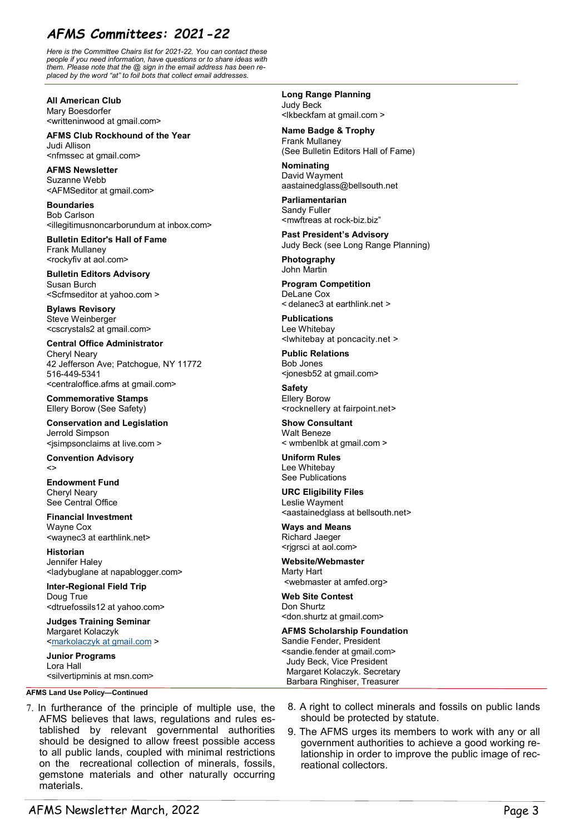# *AFMS Committees: 2021-22*

*Here is the Committee Chairs list for 2021-22. You can contact these people if you need information, have questions or to share ideas with them. Please note that the @ sign in the email address has been replaced by the word "at" to foil bots that collect email addresses.* 

**All American Club** Mary Boesdorfer <writteninwood at gmail.com>

**AFMS Club Rockhound of the Year** Judi Allison <nfmssec at gmail.com>

**AFMS Newsletter** Suzanne Webb <AFMSeditor at gmail.com>

**Boundaries** Bob Carlson <illegitimusnoncarborundum at inbox.com>

**Bulletin Editor's Hall of Fame** Frank Mullaney <rockyfiv at aol.com>

**Judges Training Seminar** Margaret Kolaczyk <[markolaczyk at gmail.com](mailto:markolaczyk@gmail.com) >

**Bulletin Editors Advisory** Susan Burch <Scfmseditor at yahoo.com >

**Bylaws Revisory** Steve Weinberger <cscrystals2 at gmail.com>

**Central Office Administrator** Cheryl Neary 42 Jefferson Ave; Patchogue, NY 11772 516-449-5341 <centraloffice.afms at gmail.com>

**Commemorative Stamps** Ellery Borow (See Safety)

**Conservation and Legislation** Jerrold Simpson [<jsimpsonclaims at live.com >](mailto:jsimpsonclaims@live.com)

**Convention Advisory** <>

**Endowment Fund** Cheryl Neary See Central Office

**Financial Investment** Wayne Cox <waynec3 at earthlink.net>

**Historian** Jennifer Haley <ladybuglane at napablogger.com>

**Inter-Regional Field Trip** Doug True <dtruefossils12 at yahoo.com>

**Junior Programs** Lora Hall [<silvertipminis at msn.com>](mailto:silvertipminis@msn.com) **Long Range Planning** Judy Beck <lkbeckfam at gmail.com >

**Name Badge & Trophy** Frank Mullaney (See Bulletin Editors Hall of Fame)

**Nominating** David Wayment aastainedglass@bellsouth.net

**Parliamentarian** Sandy Fuller <[mwftreas at rock](mailto:mwftreas@rock-biz.biz)-biz.biz"

**Past President's Advisory** Judy Beck (see Long Range Planning)

**Photography** John Martin

**Program Competition** DeLane Cox < [delanec3 at earthlink.net](mailto:delanec3@earthlink.net) >

**Publications** Lee Whitebay <lwhitebay at poncacity.net >

**Public Relations** Bob Jones <jonesb52 at gmail.com>

**Safety** Ellery Borow <rocknellery at fairpoint.net>

**Show Consultant** Walt Beneze < wmbenlbk at gmail.com >

**Uniform Rules** Lee Whitebay See Publications

**URC Eligibility Files** Leslie Wayment <[aastainedglass at bellsouth.net>](mailto:aastainedglass@bellsouth.net)

**Ways and Means** Richard Jaeger <rjgrsci at aol.com>

**Website/Webmaster** Marty Hart <webmaster at amfed.org>

**Web Site Contest** Don Shurtz <don.shurtz at gmail.com>

**AFMS Scholarship Foundation** Sandie Fender, President

**AFMS Land Use Policy—Continued**

- 7. In furtherance of the principle of multiple use, the AFMS believes that laws, regulations and rules established by relevant governmental authorities should be designed to allow freest possible access to all public lands, coupled with minimal restrictions on the recreational collection of minerals, fossils, gemstone materials and other naturally occurring materials.
- <sandie.fender at gmail.com> Judy Beck, Vice President Margaret Kolaczyk. Secretary Barbara Ringhiser, Treasurer
- 8. A right to collect minerals and fossils on public lands should be protected by statute.
- 9. The AFMS urges its members to work with any or all government authorities to achieve a good working relationship in order to improve the public image of recreational collectors.